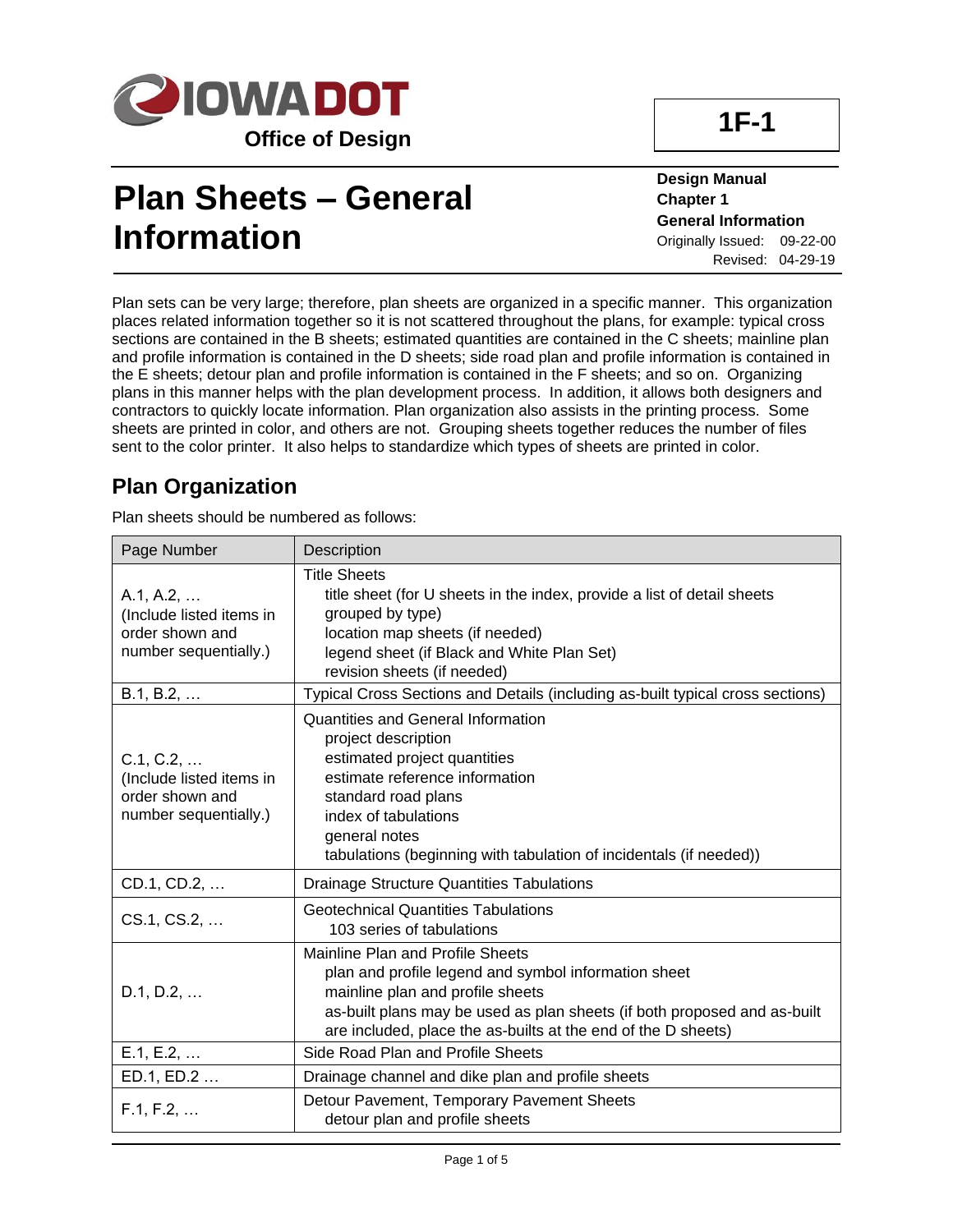

## **1F-1**

# **Plan Sheets – General Information**

**Design Manual Chapter 1 General Information** Originally Issued: 09-22-00 Revised: 04-29-19

Plan sets can be very large; therefore, plan sheets are organized in a specific manner. This organization places related information together so it is not scattered throughout the plans, for example: typical cross sections are contained in the B sheets; estimated quantities are contained in the C sheets; mainline plan and profile information is contained in the D sheets; side road plan and profile information is contained in the E sheets; detour plan and profile information is contained in the F sheets; and so on. Organizing plans in this manner helps with the plan development process. In addition, it allows both designers and contractors to quickly locate information. Plan organization also assists in the printing process. Some sheets are printed in color, and others are not. Grouping sheets together reduces the number of files sent to the color printer. It also helps to standardize which types of sheets are printed in color.

### **Plan Organization**

Plan sheets should be numbered as follows:

| Page Number                                                                       | Description                                                                                                                                                                                                                                                               |
|-----------------------------------------------------------------------------------|---------------------------------------------------------------------------------------------------------------------------------------------------------------------------------------------------------------------------------------------------------------------------|
| A.1, A.2,<br>(Include listed items in<br>order shown and<br>number sequentially.) | <b>Title Sheets</b><br>title sheet (for U sheets in the index, provide a list of detail sheets<br>grouped by type)<br>location map sheets (if needed)<br>legend sheet (if Black and White Plan Set)<br>revision sheets (if needed)                                        |
| B.1, B.2,                                                                         | Typical Cross Sections and Details (including as-built typical cross sections)                                                                                                                                                                                            |
| C.1, C.2,<br>(Include listed items in<br>order shown and<br>number sequentially.) | <b>Quantities and General Information</b><br>project description<br>estimated project quantities<br>estimate reference information<br>standard road plans<br>index of tabulations<br>general notes<br>tabulations (beginning with tabulation of incidentals (if needed))  |
| CD.1, CD.2,                                                                       | <b>Drainage Structure Quantities Tabulations</b>                                                                                                                                                                                                                          |
| CS.1, CS.2,                                                                       | <b>Geotechnical Quantities Tabulations</b><br>103 series of tabulations                                                                                                                                                                                                   |
| D.1, D.2,                                                                         | Mainline Plan and Profile Sheets<br>plan and profile legend and symbol information sheet<br>mainline plan and profile sheets<br>as-built plans may be used as plan sheets (if both proposed and as-built<br>are included, place the as-builts at the end of the D sheets) |
| E.1, E.2,                                                                         | Side Road Plan and Profile Sheets                                                                                                                                                                                                                                         |
| ED.1, ED.2                                                                        | Drainage channel and dike plan and profile sheets                                                                                                                                                                                                                         |
| F.1, F.2,                                                                         | Detour Pavement, Temporary Pavement Sheets<br>detour plan and profile sheets                                                                                                                                                                                              |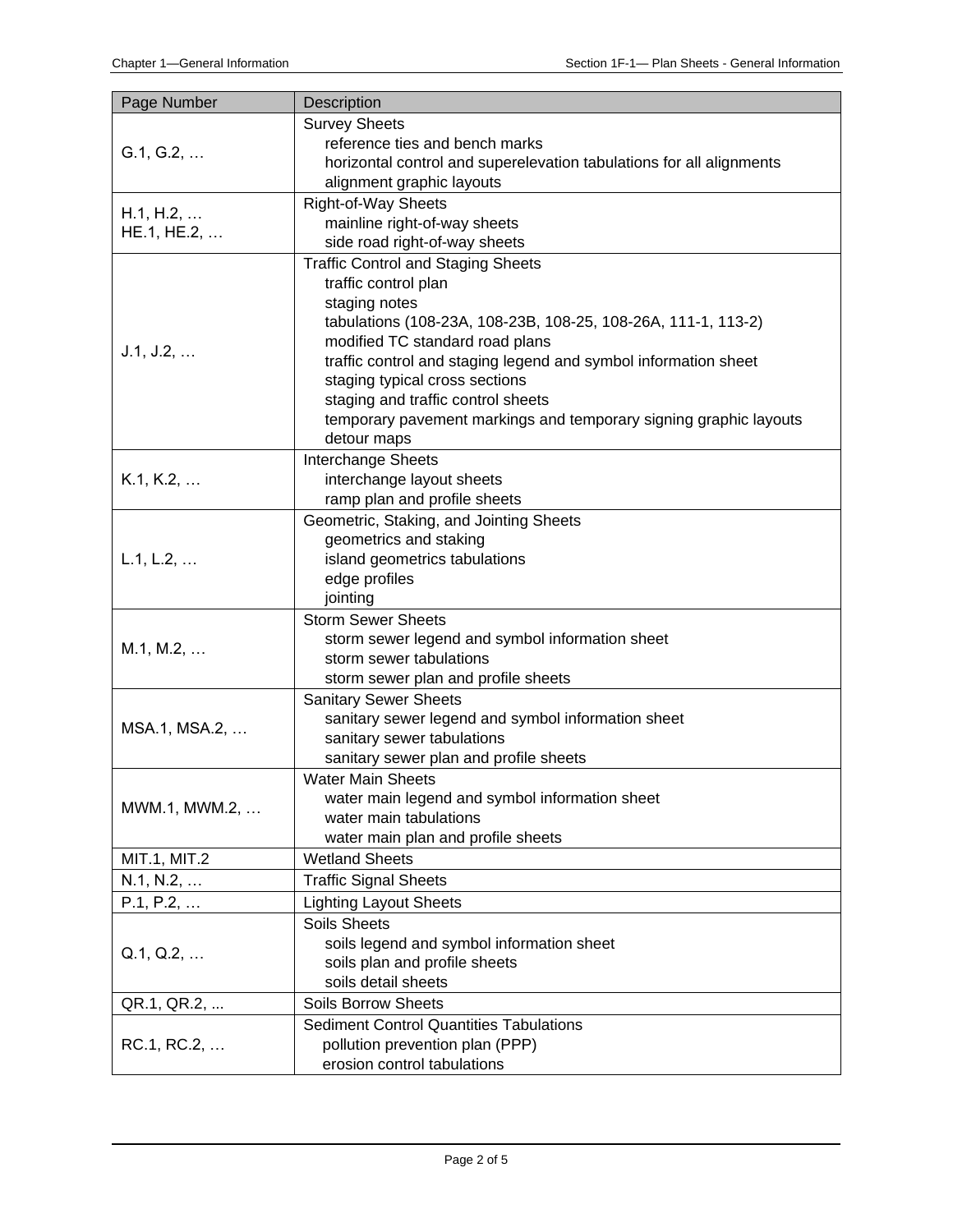| Page Number   | Description                                                          |  |  |  |
|---------------|----------------------------------------------------------------------|--|--|--|
|               | <b>Survey Sheets</b>                                                 |  |  |  |
| G.1, G.2,     | reference ties and bench marks                                       |  |  |  |
|               | horizontal control and superelevation tabulations for all alignments |  |  |  |
|               | alignment graphic layouts                                            |  |  |  |
| H.1, H.2,     | <b>Right-of-Way Sheets</b>                                           |  |  |  |
| HE.1, HE.2,   | mainline right-of-way sheets                                         |  |  |  |
|               | side road right-of-way sheets                                        |  |  |  |
|               | <b>Traffic Control and Staging Sheets</b>                            |  |  |  |
|               | traffic control plan                                                 |  |  |  |
|               | staging notes                                                        |  |  |  |
|               | tabulations (108-23A, 108-23B, 108-25, 108-26A, 111-1, 113-2)        |  |  |  |
| J.1, J.2,     | modified TC standard road plans                                      |  |  |  |
|               | traffic control and staging legend and symbol information sheet      |  |  |  |
|               | staging typical cross sections                                       |  |  |  |
|               | staging and traffic control sheets                                   |  |  |  |
|               | temporary pavement markings and temporary signing graphic layouts    |  |  |  |
|               | detour maps                                                          |  |  |  |
| K.1, K.2,     | Interchange Sheets                                                   |  |  |  |
|               | interchange layout sheets<br>ramp plan and profile sheets            |  |  |  |
|               | Geometric, Staking, and Jointing Sheets                              |  |  |  |
|               | geometrics and staking                                               |  |  |  |
| L.1, L.2,     | island geometrics tabulations                                        |  |  |  |
|               | edge profiles                                                        |  |  |  |
|               | jointing                                                             |  |  |  |
|               | <b>Storm Sewer Sheets</b>                                            |  |  |  |
|               | storm sewer legend and symbol information sheet                      |  |  |  |
| M.1, M.2,     | storm sewer tabulations                                              |  |  |  |
|               | storm sewer plan and profile sheets                                  |  |  |  |
|               | <b>Sanitary Sewer Sheets</b>                                         |  |  |  |
| MSA.1, MSA.2, | sanitary sewer legend and symbol information sheet                   |  |  |  |
|               | sanitary sewer tabulations                                           |  |  |  |
|               | sanitary sewer plan and profile sheets                               |  |  |  |
|               | <b>Water Main Sheets</b>                                             |  |  |  |
| MWM.1, MWM.2, | water main legend and symbol information sheet                       |  |  |  |
|               | water main tabulations                                               |  |  |  |
|               | water main plan and profile sheets                                   |  |  |  |
| MIT.1, MIT.2  | <b>Wetland Sheets</b>                                                |  |  |  |
| N.1, N.2,     | <b>Traffic Signal Sheets</b>                                         |  |  |  |
| P.1, P.2,     | <b>Lighting Layout Sheets</b>                                        |  |  |  |
|               | <b>Soils Sheets</b>                                                  |  |  |  |
| Q.1, Q.2,     | soils legend and symbol information sheet                            |  |  |  |
|               | soils plan and profile sheets<br>soils detail sheets                 |  |  |  |
|               | <b>Soils Borrow Sheets</b>                                           |  |  |  |
| QR.1, QR.2,   | <b>Sediment Control Quantities Tabulations</b>                       |  |  |  |
| RC.1, RC.2,   | pollution prevention plan (PPP)                                      |  |  |  |
|               | erosion control tabulations                                          |  |  |  |
|               |                                                                      |  |  |  |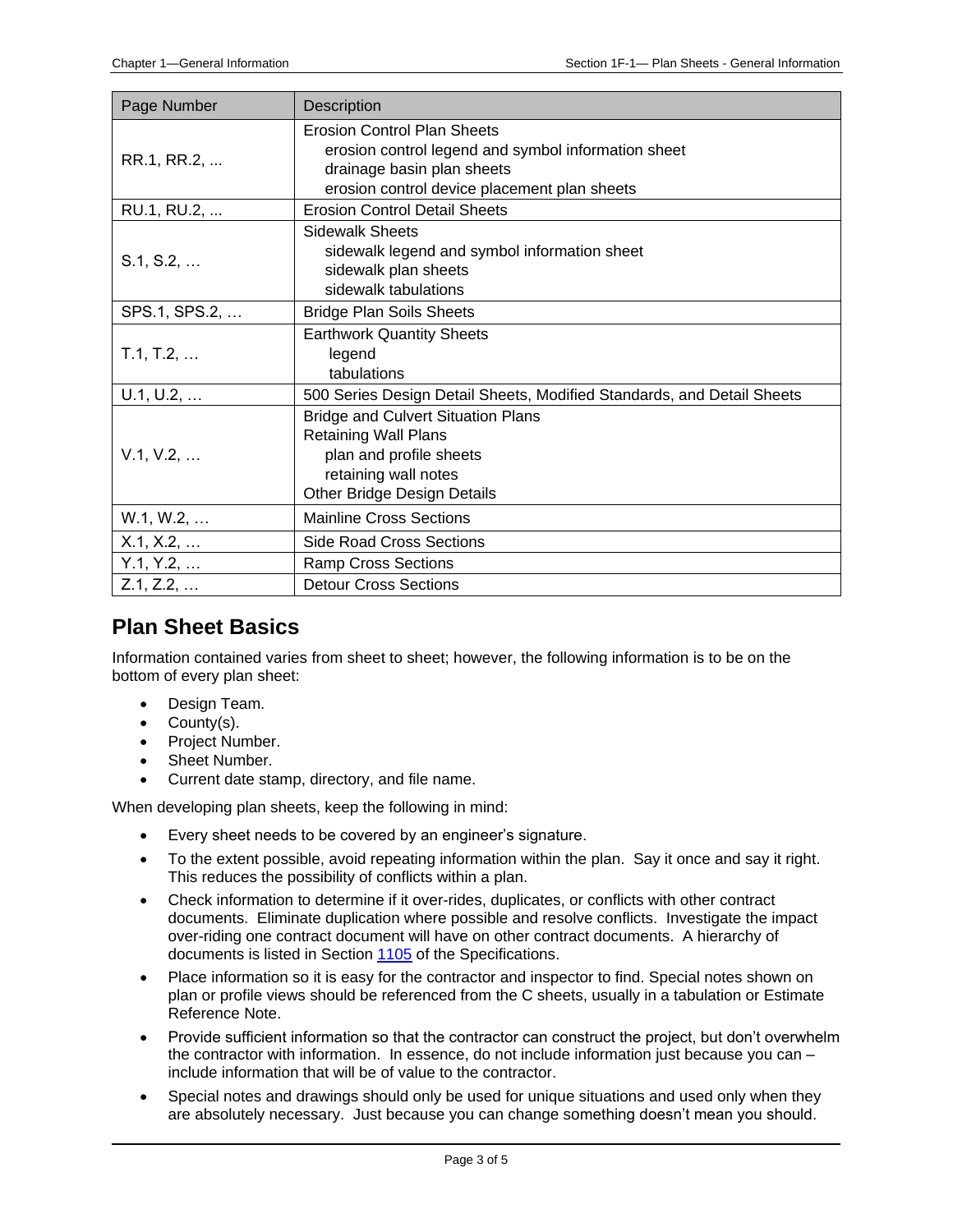| Page Number   | <b>Description</b>                                                                                                                                                      |  |  |  |  |
|---------------|-------------------------------------------------------------------------------------------------------------------------------------------------------------------------|--|--|--|--|
| RR.1, RR.2,   | <b>Erosion Control Plan Sheets</b><br>erosion control legend and symbol information sheet<br>drainage basin plan sheets<br>erosion control device placement plan sheets |  |  |  |  |
| RU.1, RU.2,   | <b>Erosion Control Detail Sheets</b>                                                                                                                                    |  |  |  |  |
| S.1, S.2,     | <b>Sidewalk Sheets</b><br>sidewalk legend and symbol information sheet<br>sidewalk plan sheets<br>sidewalk tabulations                                                  |  |  |  |  |
| SPS.1, SPS.2, | <b>Bridge Plan Soils Sheets</b>                                                                                                                                         |  |  |  |  |
| T.1, T.2,     | <b>Earthwork Quantity Sheets</b><br>legend<br>tabulations                                                                                                               |  |  |  |  |
| U.1, U.2,     | 500 Series Design Detail Sheets, Modified Standards, and Detail Sheets                                                                                                  |  |  |  |  |
| V.1, V.2,     | <b>Bridge and Culvert Situation Plans</b><br>Retaining Wall Plans<br>plan and profile sheets<br>retaining wall notes<br>Other Bridge Design Details                     |  |  |  |  |
| W.1, W.2,     | <b>Mainline Cross Sections</b>                                                                                                                                          |  |  |  |  |
| X.1, X.2,     | <b>Side Road Cross Sections</b>                                                                                                                                         |  |  |  |  |
| Y.1, Y.2,     | <b>Ramp Cross Sections</b>                                                                                                                                              |  |  |  |  |
| Z.1, Z.2,     | <b>Detour Cross Sections</b>                                                                                                                                            |  |  |  |  |

#### **Plan Sheet Basics**

Information contained varies from sheet to sheet; however, the following information is to be on the bottom of every plan sheet:

- Design Team.
- County(s).
- Project Number.
- Sheet Number.
- Current date stamp, directory, and file name.

When developing plan sheets, keep the following in mind:

- Every sheet needs to be covered by an engineer's signature.
- To the extent possible, avoid repeating information within the plan. Say it once and say it right. This reduces the possibility of conflicts within a plan.
- Check information to determine if it over-rides, duplicates, or conflicts with other contract documents. Eliminate duplication where possible and resolve conflicts. Investigate the impact over-riding one contract document will have on other contract documents. A hierarchy of documents is listed in Section [1105](../../erl/current/GS/content/1105.htm) of the Specifications.
- Place information so it is easy for the contractor and inspector to find. Special notes shown on plan or profile views should be referenced from the C sheets, usually in a tabulation or Estimate Reference Note.
- Provide sufficient information so that the contractor can construct the project, but don't overwhelm the contractor with information. In essence, do not include information just because you can – include information that will be of value to the contractor.
- Special notes and drawings should only be used for unique situations and used only when they are absolutely necessary. Just because you can change something doesn't mean you should.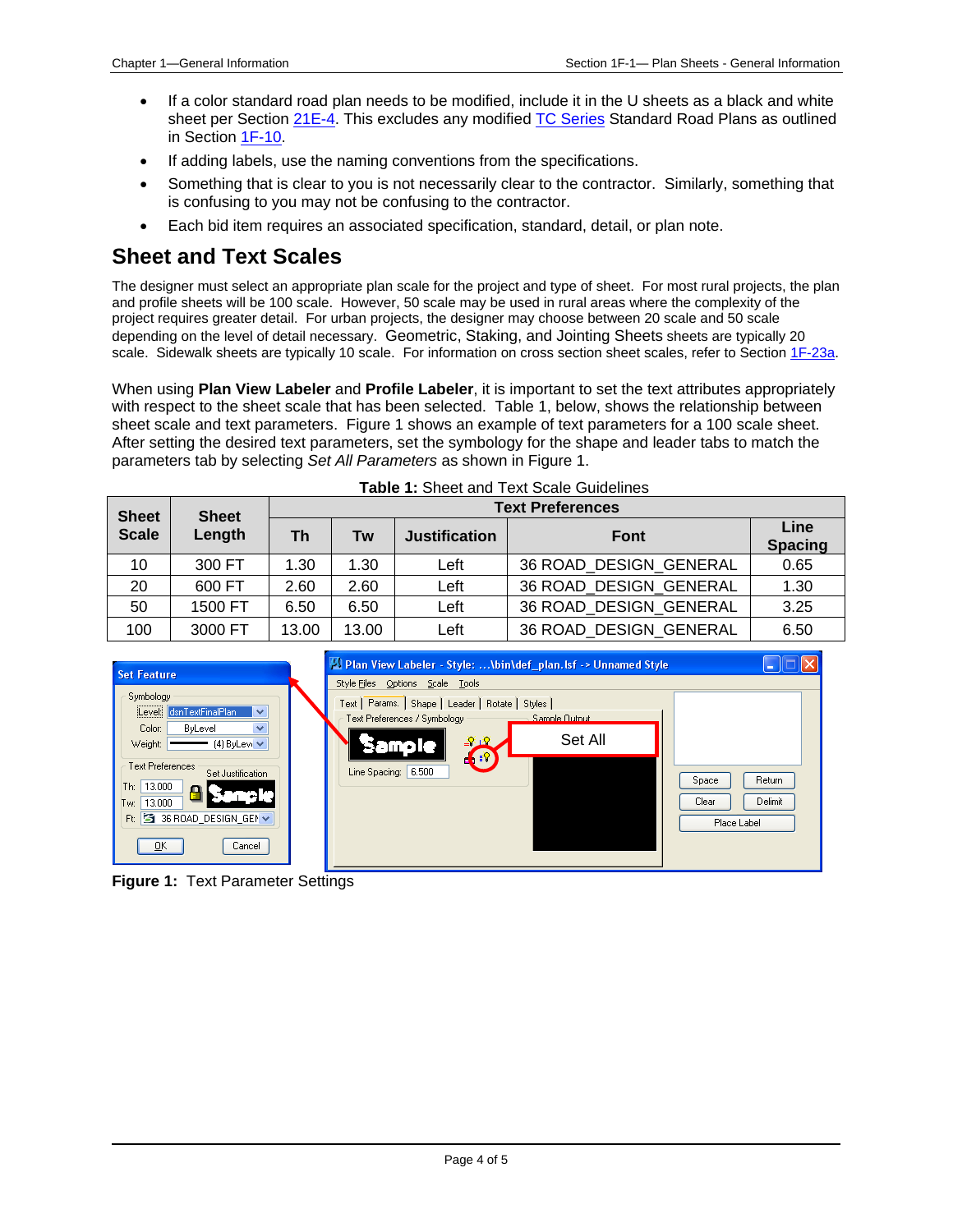- If a color standard road plan needs to be modified, include it in the U sheets as a black and white sheet per Section [21E-4.](21e-04.pdf) This excludes any modified [TC Series](../stdplne_tc) Standard Road Plans as outlined in Sectio[n 1F-10.](01f-10.pdf)
- If adding labels, use the naming conventions from the specifications.
- Something that is clear to you is not necessarily clear to the contractor. Similarly, something that is confusing to you may not be confusing to the contractor.
- Each bid item requires an associated specification, standard, detail, or plan note.

#### **Sheet and Text Scales**

The designer must select an appropriate plan scale for the project and type of sheet. For most rural projects, the plan and profile sheets will be 100 scale. However, 50 scale may be used in rural areas where the complexity of the project requires greater detail. For urban projects, the designer may choose between 20 scale and 50 scale depending on the level of detail necessary. Geometric, Staking, and Jointing Sheets sheets are typically 20 scale. Sidewalk sheets are typically 10 scale. For information on cross section sheet scales, refer to Section [1F-23a.](01f-23a.pdf)

When using **Plan View Labeler** and **Profile Labeler**, it is important to set the text attributes appropriately with respect to the sheet scale that has been selected. Table 1, below, shows the relationship between sheet scale and text parameters. Figure 1 shows an example of text parameters for a 100 scale sheet. After setting the desired text parameters, set the symbology for the shape and leader tabs to match the parameters tab by selecting *Set All Parameters* as shown in Figure 1.

| <b>TADIC T.</b> OTICCL AND TCAL OCAIC OUNCILIES |                        |                         |       |                      |                        |                        |  |
|-------------------------------------------------|------------------------|-------------------------|-------|----------------------|------------------------|------------------------|--|
| <b>Sheet</b><br><b>Scale</b>                    | <b>Sheet</b><br>Length | <b>Text Preferences</b> |       |                      |                        |                        |  |
|                                                 |                        | <b>Th</b>               | Tw    | <b>Justification</b> | <b>Font</b>            | Line<br><b>Spacing</b> |  |
| 10                                              | 300 FT                 | 1.30                    | 1.30  | Left                 | 36 ROAD_DESIGN_GENERAL | 0.65                   |  |
| 20                                              | 600 FT                 | 2.60                    | 2.60  | Left                 | 36 ROAD DESIGN GENERAL | 1.30                   |  |
| 50                                              | 1500 FT                | 6.50                    | 6.50  | Left                 | 36 ROAD DESIGN GENERAL | 3.25                   |  |
| 100                                             | 3000 FT                | 13.00                   | 13.00 | Left                 | 36 ROAD DESIGN GENERAL | 6.50                   |  |





**Figure 1:** Text Parameter Settings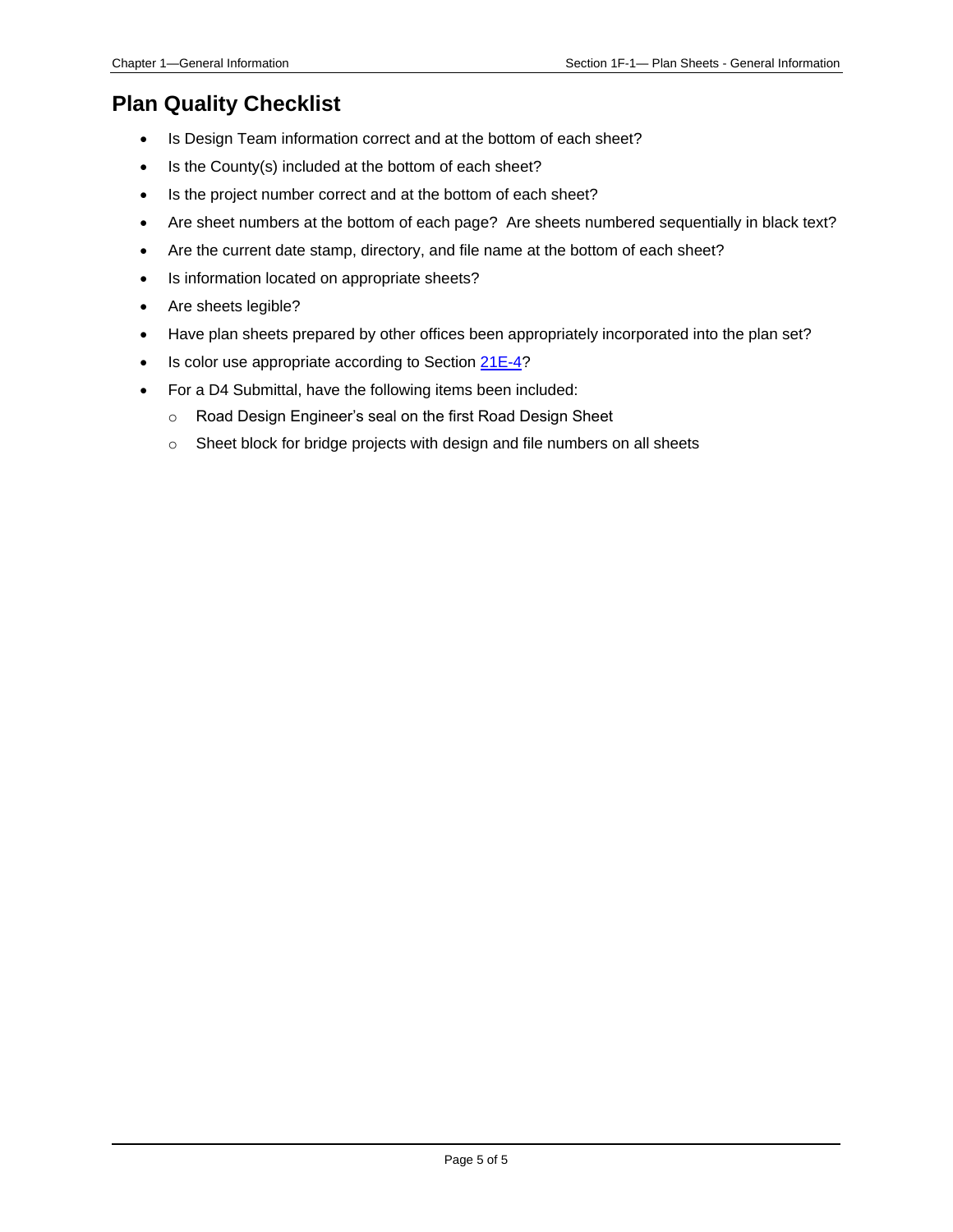#### **Plan Quality Checklist**

- Is Design Team information correct and at the bottom of each sheet?
- Is the County(s) included at the bottom of each sheet?
- Is the project number correct and at the bottom of each sheet?
- Are sheet numbers at the bottom of each page? Are sheets numbered sequentially in black text?
- Are the current date stamp, directory, and file name at the bottom of each sheet?
- Is information located on appropriate sheets?
- Are sheets legible?
- Have plan sheets prepared by other offices been appropriately incorporated into the plan set?
- Is color use appropriate according to Section [21E-4?](21e-04.pdf)
- For a D4 Submittal, have the following items been included:
	- o Road Design Engineer's seal on the first Road Design Sheet
	- o Sheet block for bridge projects with design and file numbers on all sheets